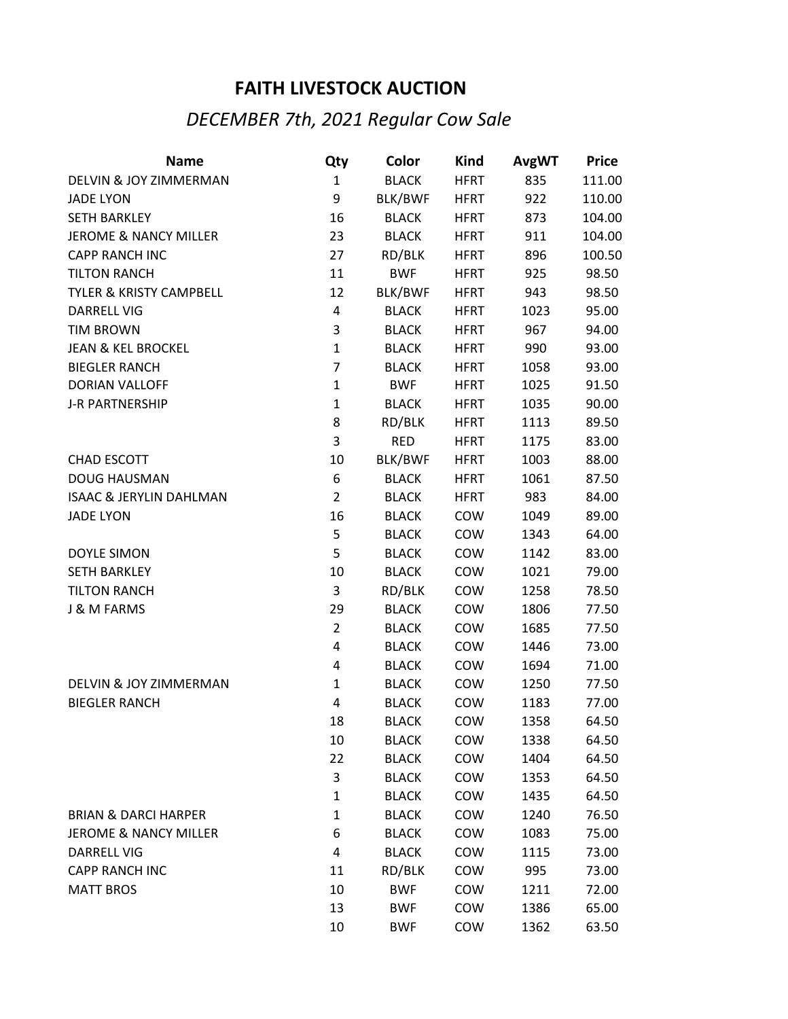## **FAITH LIVESTOCK AUCTION**

## *DECEMBER 7th, 2021 Regular Cow Sale*

| <b>Name</b>                        | Qty            | Color        | Kind        | <b>AvgWT</b> | <b>Price</b> |
|------------------------------------|----------------|--------------|-------------|--------------|--------------|
| DELVIN & JOY ZIMMERMAN             | $\mathbf{1}$   | <b>BLACK</b> | <b>HFRT</b> | 835          | 111.00       |
| <b>JADE LYON</b>                   | 9              | BLK/BWF      | <b>HFRT</b> | 922          | 110.00       |
| <b>SETH BARKLEY</b>                | 16             | <b>BLACK</b> | <b>HFRT</b> | 873          | 104.00       |
| <b>JEROME &amp; NANCY MILLER</b>   | 23             | <b>BLACK</b> | <b>HFRT</b> | 911          | 104.00       |
| CAPP RANCH INC                     | 27             | RD/BLK       | <b>HFRT</b> | 896          | 100.50       |
| <b>TILTON RANCH</b>                | 11             | <b>BWF</b>   | <b>HFRT</b> | 925          | 98.50        |
| TYLER & KRISTY CAMPBELL            | 12             | BLK/BWF      | <b>HFRT</b> | 943          | 98.50        |
| <b>DARRELL VIG</b>                 | 4              | <b>BLACK</b> | <b>HFRT</b> | 1023         | 95.00        |
| <b>TIM BROWN</b>                   | 3              | <b>BLACK</b> | <b>HFRT</b> | 967          | 94.00        |
| <b>JEAN &amp; KEL BROCKEL</b>      | $\mathbf{1}$   | <b>BLACK</b> | <b>HFRT</b> | 990          | 93.00        |
| <b>BIEGLER RANCH</b>               | 7              | <b>BLACK</b> | <b>HFRT</b> | 1058         | 93.00        |
| <b>DORIAN VALLOFF</b>              | $\mathbf{1}$   | <b>BWF</b>   | <b>HFRT</b> | 1025         | 91.50        |
| J-R PARTNERSHIP                    | $\mathbf{1}$   | <b>BLACK</b> | <b>HFRT</b> | 1035         | 90.00        |
|                                    | 8              | RD/BLK       | <b>HFRT</b> | 1113         | 89.50        |
|                                    | 3              | <b>RED</b>   | <b>HFRT</b> | 1175         | 83.00        |
| <b>CHAD ESCOTT</b>                 | 10             | BLK/BWF      | <b>HFRT</b> | 1003         | 88.00        |
| <b>DOUG HAUSMAN</b>                | 6              | <b>BLACK</b> | <b>HFRT</b> | 1061         | 87.50        |
| <b>ISAAC &amp; JERYLIN DAHLMAN</b> | $\overline{2}$ | <b>BLACK</b> | <b>HFRT</b> | 983          | 84.00        |
| <b>JADE LYON</b>                   | 16             | <b>BLACK</b> | COW         | 1049         | 89.00        |
|                                    | 5              | <b>BLACK</b> | COW         | 1343         | 64.00        |
| <b>DOYLE SIMON</b>                 | 5              | <b>BLACK</b> | COW         | 1142         | 83.00        |
| <b>SETH BARKLEY</b>                | 10             | <b>BLACK</b> | COW         | 1021         | 79.00        |
| <b>TILTON RANCH</b>                | 3              | RD/BLK       | COW         | 1258         | 78.50        |
| J & M FARMS                        | 29             | <b>BLACK</b> | COW         | 1806         | 77.50        |
|                                    | $\overline{2}$ | <b>BLACK</b> | COW         | 1685         | 77.50        |
|                                    | 4              | <b>BLACK</b> | COW         | 1446         | 73.00        |
|                                    | 4              | <b>BLACK</b> | COW         | 1694         | 71.00        |
| DELVIN & JOY ZIMMERMAN             | $\mathbf{1}$   | <b>BLACK</b> | COW         | 1250         | 77.50        |
| <b>BIEGLER RANCH</b>               | 4              | <b>BLACK</b> | COW         | 1183         | 77.00        |
|                                    | 18             | <b>BLACK</b> | COW         | 1358         | 64.50        |
|                                    | 10             | <b>BLACK</b> | COW         | 1338         | 64.50        |
|                                    | 22             | <b>BLACK</b> | COW         | 1404         | 64.50        |
|                                    | 3              | <b>BLACK</b> | COW         | 1353         | 64.50        |
|                                    | $\mathbf{1}$   | <b>BLACK</b> | COW         | 1435         | 64.50        |
| <b>BRIAN &amp; DARCI HARPER</b>    | $\mathbf{1}$   | <b>BLACK</b> | COW         | 1240         | 76.50        |
| <b>JEROME &amp; NANCY MILLER</b>   | 6              | <b>BLACK</b> | COW         | 1083         | 75.00        |
| <b>DARRELL VIG</b>                 | 4              | <b>BLACK</b> | COW         | 1115         | 73.00        |
| <b>CAPP RANCH INC</b>              | 11             | RD/BLK       | COW         | 995          | 73.00        |
| <b>MATT BROS</b>                   | 10             | <b>BWF</b>   | COW         | 1211         | 72.00        |
|                                    | 13             | <b>BWF</b>   | COW         | 1386         | 65.00        |
|                                    | 10             | <b>BWF</b>   | COW         | 1362         | 63.50        |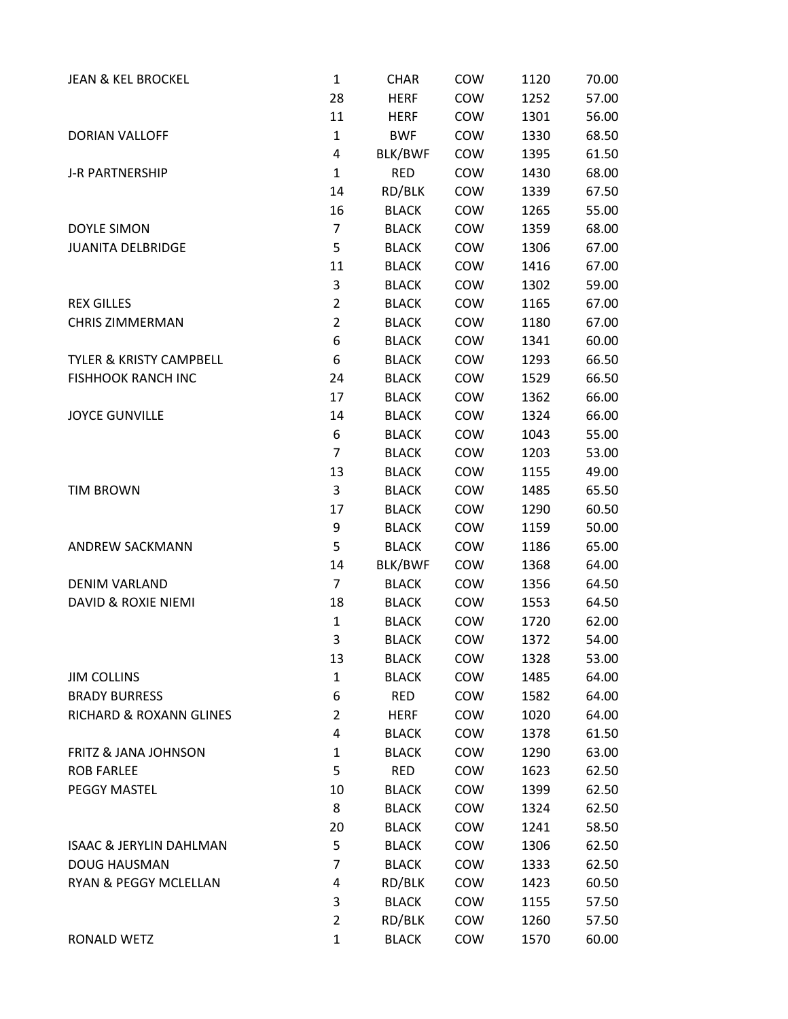| <b>JEAN &amp; KEL BROCKEL</b>      | $\mathbf{1}$   | <b>CHAR</b>  | COW        | 1120 | 70.00 |
|------------------------------------|----------------|--------------|------------|------|-------|
|                                    | 28             | <b>HERF</b>  | COW        | 1252 | 57.00 |
|                                    | 11             | <b>HERF</b>  | COW        | 1301 | 56.00 |
| <b>DORIAN VALLOFF</b>              | $\mathbf{1}$   | <b>BWF</b>   | COW        | 1330 | 68.50 |
|                                    | 4              | BLK/BWF      | COW        | 1395 | 61.50 |
| J-R PARTNERSHIP                    | $\mathbf{1}$   | <b>RED</b>   | COW        | 1430 | 68.00 |
|                                    | 14             | RD/BLK       | COW        | 1339 | 67.50 |
|                                    | 16             | <b>BLACK</b> | COW        | 1265 | 55.00 |
| <b>DOYLE SIMON</b>                 | $\overline{7}$ | <b>BLACK</b> | COW        | 1359 | 68.00 |
| <b>JUANITA DELBRIDGE</b>           | 5              | <b>BLACK</b> | COW        | 1306 | 67.00 |
|                                    | 11             | <b>BLACK</b> | COW        | 1416 | 67.00 |
|                                    | 3              | <b>BLACK</b> | COW        | 1302 | 59.00 |
| <b>REX GILLES</b>                  | $\overline{2}$ | <b>BLACK</b> | COW        | 1165 | 67.00 |
| <b>CHRIS ZIMMERMAN</b>             | $\overline{2}$ | <b>BLACK</b> | COW        | 1180 | 67.00 |
|                                    | 6              | <b>BLACK</b> | COW        | 1341 | 60.00 |
| <b>TYLER &amp; KRISTY CAMPBELL</b> | 6              | <b>BLACK</b> | COW        | 1293 | 66.50 |
| <b>FISHHOOK RANCH INC</b>          | 24             | <b>BLACK</b> | COW        | 1529 | 66.50 |
|                                    | 17             | <b>BLACK</b> | COW        | 1362 | 66.00 |
| <b>JOYCE GUNVILLE</b>              | 14             | <b>BLACK</b> | COW        | 1324 | 66.00 |
|                                    | 6              | <b>BLACK</b> | COW        | 1043 | 55.00 |
|                                    | 7              | <b>BLACK</b> | COW        | 1203 | 53.00 |
|                                    | 13             | <b>BLACK</b> | COW        | 1155 | 49.00 |
| <b>TIM BROWN</b>                   | 3              | <b>BLACK</b> | COW        | 1485 | 65.50 |
|                                    | 17             | <b>BLACK</b> | COW        | 1290 | 60.50 |
|                                    | 9              | <b>BLACK</b> | COW        | 1159 | 50.00 |
| ANDREW SACKMANN                    | 5              | <b>BLACK</b> | COW        | 1186 | 65.00 |
|                                    | 14             | BLK/BWF      | COW        | 1368 | 64.00 |
| <b>DENIM VARLAND</b>               | $\overline{7}$ | <b>BLACK</b> | COW        | 1356 | 64.50 |
| <b>DAVID &amp; ROXIE NIEMI</b>     | 18             | <b>BLACK</b> | COW        | 1553 | 64.50 |
|                                    | $\mathbf{1}$   | <b>BLACK</b> | COW        | 1720 | 62.00 |
|                                    | 3              | <b>BLACK</b> | COW        | 1372 | 54.00 |
|                                    | 13             | <b>BLACK</b> | COW        | 1328 | 53.00 |
| <b>JIM COLLINS</b>                 | $\mathbf{1}$   | <b>BLACK</b> | COW        | 1485 | 64.00 |
| <b>BRADY BURRESS</b>               | 6              | <b>RED</b>   | COW        | 1582 | 64.00 |
| RICHARD & ROXANN GLINES            | $\overline{2}$ | <b>HERF</b>  | COW        | 1020 | 64.00 |
|                                    | 4              | <b>BLACK</b> | <b>COW</b> | 1378 | 61.50 |
| <b>FRITZ &amp; JANA JOHNSON</b>    | $\mathbf{1}$   | <b>BLACK</b> | COW        | 1290 | 63.00 |
| <b>ROB FARLEE</b>                  | 5              | <b>RED</b>   | COW        | 1623 | 62.50 |
| PEGGY MASTEL                       | 10             | <b>BLACK</b> | COW        | 1399 | 62.50 |
|                                    | 8              | <b>BLACK</b> | COW        | 1324 | 62.50 |
|                                    | 20             | <b>BLACK</b> | COW        | 1241 | 58.50 |
| <b>ISAAC &amp; JERYLIN DAHLMAN</b> | 5              | <b>BLACK</b> | COW        | 1306 | 62.50 |
| <b>DOUG HAUSMAN</b>                | 7              | <b>BLACK</b> | COW        | 1333 | 62.50 |
| RYAN & PEGGY MCLELLAN              | 4              | RD/BLK       | COW        | 1423 | 60.50 |
|                                    | 3              | <b>BLACK</b> | COW        | 1155 | 57.50 |
|                                    | $\overline{2}$ | RD/BLK       | COW        | 1260 | 57.50 |
| RONALD WETZ                        | $\mathbf{1}$   | <b>BLACK</b> | COW        | 1570 | 60.00 |